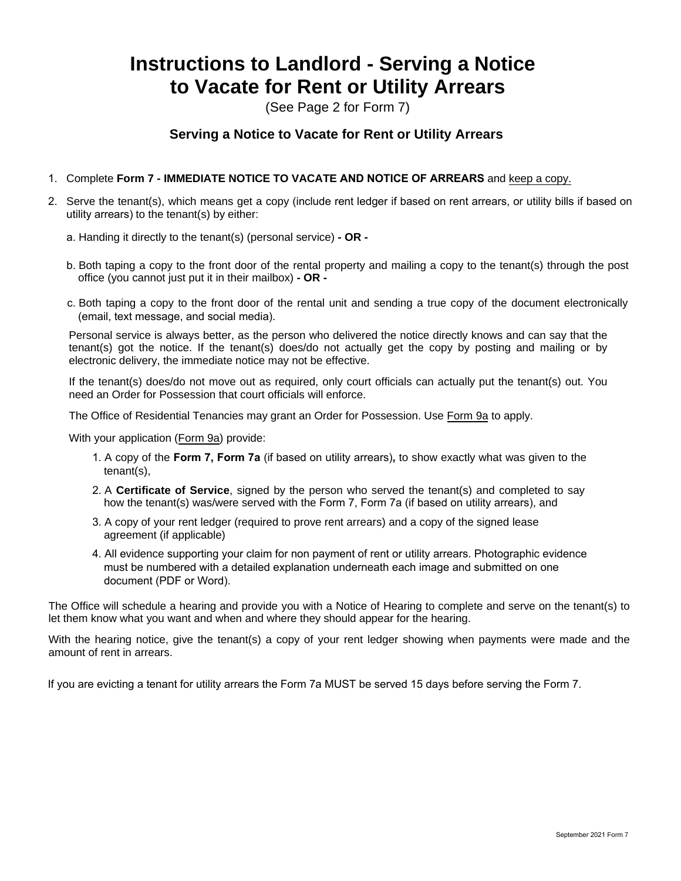## **Instructions to Landlord - Serving a Notice to Vacate for Rent or Utility Arrears**

(See Page 2 for Form 7)

## **Serving a Notice to Vacate for Rent or Utility Arrears**

- 1. Complete **Form 7 IMMEDIATE NOTICE TO VACATE AND NOTICE OF ARREARS** and keep a copy.
- 2. Serve the tenant(s), which means get a copy (include rent ledger if based on rent arrears, or utility bills if based on utility arrears) to the tenant(s) by either:
	- a. Handing it directly to the tenant(s) (personal service)  **OR -**
	- b. Both taping a copy to the front door of the rental property and mailing a copy to the tenant(s) through the post office (you cannot just put it in their mailbox) **- OR -**
	- c. Both taping a copy to the front door of the rental unit and sending a true copy of the document electronically (email, text message, and social media).

Personal service is always better, as the person who delivered the notice directly knows and can say that the tenant(s) got the notice. If the tenant(s) does/do not actually get the copy by posting and mailing or by electronic delivery, the immediate notice may not be effective.

If the tenant(s) does/do not move out as required, only court officials can actually put the tenant(s) out. You need an Order for Possession that court officials will enforce.

The Office of Residential Tenancies may grant an Order for Possession. Use Form 9a to apply.

With your application (Form 9a) provide:

- 1. A copy of the **Form 7, Form 7a** (if based on utility arrears)**,** to show exactly what was given to the tenant(s),
- 2. A **Certificate of Service**, signed by the person who served the tenant(s) and completed to say how the tenant(s) was/were served with the Form 7, Form 7a (if based on utility arrears), and
- 3. A copy of your rent ledger (required to prove rent arrears) and a copy of the signed lease agreement (if applicable)
- 4. All evidence supporting your claim for non payment of rent or utility arrears. Photographic evidence must be numbered with a detailed explanation underneath each image and submitted on one document (PDF or Word).

The Office will schedule a hearing and provide you with a Notice of Hearing to complete and serve on the tenant(s) to let them know what you want and when and where they should appear for the hearing.

With the hearing notice, give the tenant(s) a copy of your rent ledger showing when payments were made and the amount of rent in arrears.

If you are evicting a tenant for utility arrears the Form 7a MUST be served 15 days before serving the Form 7.